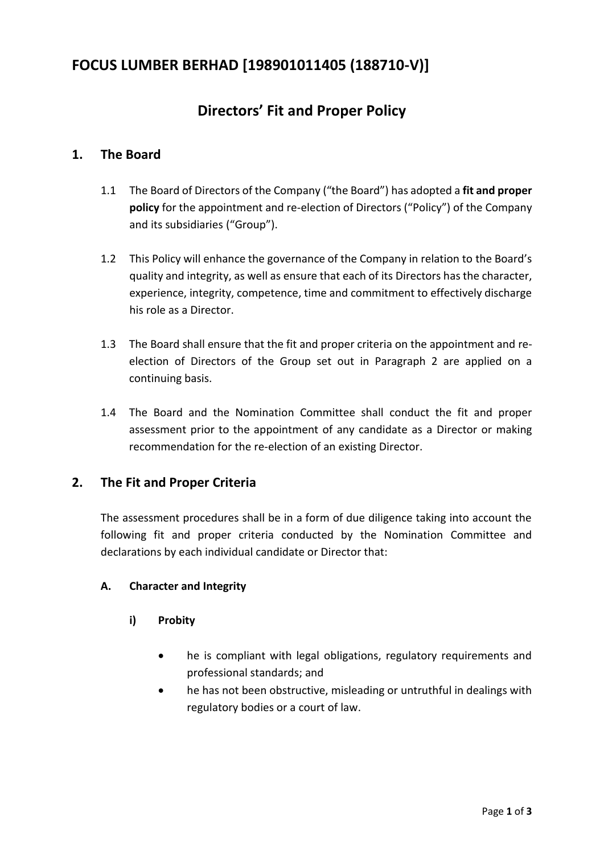# **FOCUS LUMBER BERHAD [198901011405 (188710-V)]**

# **Directors' Fit and Proper Policy**

## **1. The Board**

- 1.1 The Board of Directors of the Company ("the Board") has adopted a **fit and proper policy** for the appointment and re-election of Directors ("Policy") of the Company and its subsidiaries ("Group").
- 1.2 This Policy will enhance the governance of the Company in relation to the Board's quality and integrity, as well as ensure that each of its Directors has the character, experience, integrity, competence, time and commitment to effectively discharge his role as a Director.
- 1.3 The Board shall ensure that the fit and proper criteria on the appointment and reelection of Directors of the Group set out in Paragraph 2 are applied on a continuing basis.
- 1.4 The Board and the Nomination Committee shall conduct the fit and proper assessment prior to the appointment of any candidate as a Director or making recommendation for the re-election of an existing Director.

## **2. The Fit and Proper Criteria**

The assessment procedures shall be in a form of due diligence taking into account the following fit and proper criteria conducted by the Nomination Committee and declarations by each individual candidate or Director that:

## **A. Character and Integrity**

- **i) Probity**
	- he is compliant with legal obligations, regulatory requirements and professional standards; and
	- he has not been obstructive, misleading or untruthful in dealings with regulatory bodies or a court of law.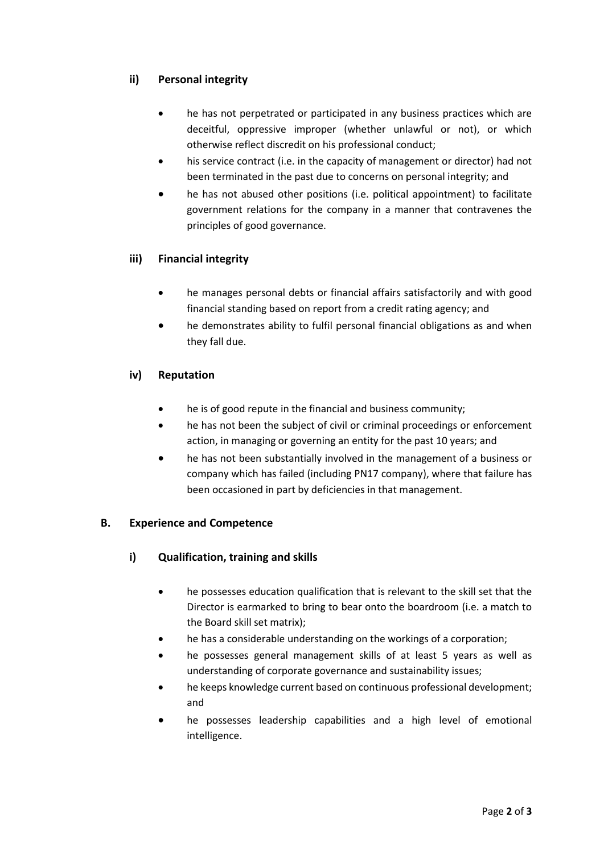## **ii) Personal integrity**

- he has not perpetrated or participated in any business practices which are deceitful, oppressive improper (whether unlawful or not), or which otherwise reflect discredit on his professional conduct;
- his service contract (i.e. in the capacity of management or director) had not been terminated in the past due to concerns on personal integrity; and
- he has not abused other positions (i.e. political appointment) to facilitate government relations for the company in a manner that contravenes the principles of good governance.

## **iii) Financial integrity**

- he manages personal debts or financial affairs satisfactorily and with good financial standing based on report from a credit rating agency; and
- he demonstrates ability to fulfil personal financial obligations as and when they fall due.

#### **iv) Reputation**

- he is of good repute in the financial and business community;
- he has not been the subject of civil or criminal proceedings or enforcement action, in managing or governing an entity for the past 10 years; and
- he has not been substantially involved in the management of a business or company which has failed (including PN17 company), where that failure has been occasioned in part by deficiencies in that management.

#### **B. Experience and Competence**

- **i) Qualification, training and skills**
	- he possesses education qualification that is relevant to the skill set that the Director is earmarked to bring to bear onto the boardroom (i.e. a match to the Board skill set matrix);
	- he has a considerable understanding on the workings of a corporation;
	- he possesses general management skills of at least 5 years as well as understanding of corporate governance and sustainability issues;
	- he keeps knowledge current based on continuous professional development; and
	- he possesses leadership capabilities and a high level of emotional intelligence.